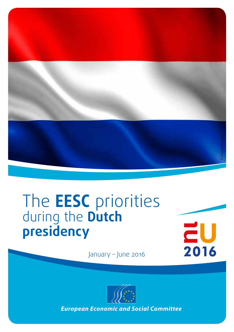

## The **EESC** priorities during the **Dutch presidency**

 $\mathbf{Z}$ U<br>2016

January – June 2016



*European Economic and Social Committee*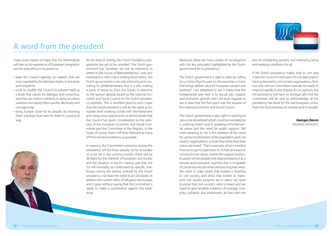

#### A word from the president

I have every reason to hope that the Netherlands will lean on its experience of European integration and do everything in its power to:

- base the Council agenda on matters that are truly essential for the Member States, in the short and long term;
- work to enable the Council to present itself as a body that stands for dialogue and consensus, and that can work in solidarity to arrive at robust solutions and apply them quickly, decisively and courageously;
- bring Europe closer to its people, by showing them a Europe that cares for them in a practical way.

At the time of writing, the Dutch Presidency programme has yet to be unveiled. The Dutch government has, however, set out its intentions in letters to the House of Representatives. I was very interested to note that in writing these letters, the Dutch government is not only informing and consulting its parliamentarians, but it is also making a point of doing so, from the outset, in response to the opinion already issued by the national Economic and Social Council on the Dutch presidency priorities. This is excellent practice and I hope that the Dutch presidency will do the same at European level: working closely with the Parliament and using every opportunity to demonstrate that the Council has given consideration to the opinions of the European Economic and Social Committee and the Committee of the Regions, in the hope, of course, that it will have followed as many of their recommendations as possible.

In essence, the Committee's priorities during this presidency will be those already set by its bodies or to be set in the coming months: these will be dictated by the interests of European civil society and the situation in the EU. Having said that, the EU will inevitably by confronted by specific challenges during the period covered by the Dutch presidency, not least the need to act decisively to address the current influx of refugees into Europe, and it goes without saying that the Committee is ready to make a contribution against this backdrop.

Moreover, there are many points of convergence with the key principles highlighted by the Dutch government for its presidency.

The Dutch government is right to start by calling for ..a Union that focuses on the essential, a Union that brings added value for European people and business". I am delighted to see it stated that the fundamental task here is to secure job creation and economic growth, and I am even happier to see it state that this first point was the request of the national Economic and Social Council.

The Dutch government is also right in wanting to see a *Unie die verbindt* which could be translated as a "unifying Union", and in speaking of fundamental values and the need for public support. Still more pleasing to me is the mention of the need for "active involvement of the population and civil society organisations, so that they know that their voices are heard". That is precisely what is needed if we are to get Europe back on its feet and back to serving its true values, restore the support and enthusiasm of the people and stop portraying it as a remote and insensitive machine that is incapable of consensus except when announcing bad news. We need to state clearly that Europe is listening to civil society, and stress that bodies to represent civil society properly are in place, we need to prove that civil society's voice is heard and we need to give tangible evidence of courage, creativity, solidarity and investment; all that with the

aim of combatting poverty and improving living and working conditions for all.

If the Dutch presidency makes that its aim and chairs the Council in that spirit, if it can take pride in having listened to civil society organisations, then not only will our Committee naturally be ready to respond rapidly to any request for an opinion, but the presidency will have no stronger ally. And the Committee will be sure to acknowledge all the presidency has done for the real European Union, that is for its businesses, its workers and its people.

#### *Georges Dassis President of the EESC*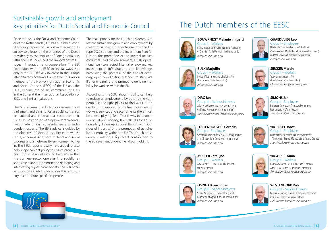#### Sustainable growth and employment key priorities for Dutch Social and Economic Council

Since the 1950s, the Social and Economic Council of the Netherlands (SER) has published several advisory reports on European Integration. In an advisory letter on the priorities of the Dutch presidency to the Minister of Foreign Affairs in 2014, the SER underlined the importance of European integration and cooperation. The SER cooperates with the EESC in several ways. Not only is the SER actively involved in the Europe 2020 Strategy Steering Committee, it is also a member of the Network of national Economic and Social Councils (ESCs) of the EU and the EESC, CESlink (the online community of ESCs in the EU) and the International Association of ESCs and Similar Institutions.

The SER advises the Dutch government and parliament and aims to foster social consensus on national and international socio-economic issues. It is composed of employers' representatives, trade union representatives and independent experts. The SER's advice is guided by the objective of social prosperity in its widest sense, encompassing both material and social progress and a high-quality environment to live in. The SER's reports ideally have a dual role: to help shape cabinet policy to ensure broad support from civil society and to help ensure that the business sector operates in a socially responsible manner. Committed to detecting and interpreting signals from society, the SER offers various civil society organisations the opportunity to contribute specific expertise.

*European Economic and Social Committee*

The main priority for the Dutch presidency is to restore sustainable growth and employment by means of various sub-priorities such as the Europe 2020 strategy and the Investment Plan for Europe, the promotion of the internal market, consumers and the environment, a fully operational well-connected internal energy market, investment in infrastructure and knowledge, harnessing the potential of the circular economy, open coordination methods to stimulate life-long learning, and promoting genuine mobility for workers within the EU.

According to the SER, labour mobility can help to reduce unemployment, by putting the right people in the right places to find work. In order to boost support for the free movement of workers, services and secondments there must be a level playing field. That is why in its opinion on labour mobility, the SER calls for an action plan, drawn up in consultation with both sides of industry, for the promotion of genuine labour mobility within the EU. The Dutch presidency is making a significant contribution to the achievement of genuine labour mobility.

## The Dutch members of the EESC





**BULK Marjolijn**  Group II – Workers Policy Officer, International Affairs, FNV (Dutch Trade Union Federation) *info@eesc.europa.eu*

*info@eesc.europa.eu*



**DIRX Jan**  Group III – Various Interests Advisor and executive secretary at Natuur en Milieu (environmental organisation) *JanWillemHendrik.Dirx@eesc.europa.eu*

**LUSTENHOUWER Cornelis**  Group I – Employers

General Counsel at Delta N.V., EU policy advisor at MKB Nederland (employers' organisation)





**MULLER Catelijne**  Group II – Workers Advisor at VCP (Trade Union Federation for Professionals) *info@eesc.europa.eu*

*info@eesc.europa.eu*



**OSINGA Klaas Johan**  Group III – Various Interests Senior Adviser at LTO Nederland (Dutch Federation of Agriculture and Horticulture) *info@eesc.europa.eu*



Group I – Employers Head of the Brussels office of the VNO-NCW (Confederation of Netherlands Industry and Employers) and MKB Nederland (employers' organisation) *info@eesc.europa.eu*



**SIECKER Martin**  Group II – Workers Trade Union leader – FNV (Dutch Trade Union Federation) *Martin.Siecker@eesc.europa.eu*



**SIMONS Jan**  Group I – Employers Professor Emeritus in Transport Economics, Free University of Amsterdam *Jan.Simons@eesc.europa.eu*



**van IERSEL Joost**  Group I – Employers Former President of the Chamber of Commerce – The Hague – Former Member of the Second Chamber *Joost.VanIersel@eesc.europa.eu*



Group II – Workers Policy Advisor on International and European Affairs, FNV (Dutch Trade Union Federation) *Annie.VanWezel@eesc.europa.eu*

**van WEZEL Anna**



Group III – Various Interests Former Managing Director of Consumentenbond (consumer protection organisation) *Dirk.Westendorp@eesc.europa.eu*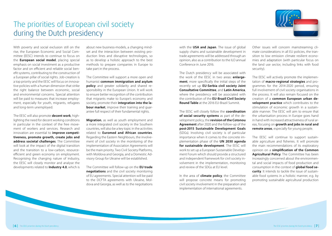## The priorities of European civil society during the Dutch presidency



With poverty and social exclusion still on the rise, the European Economic and Social Committee (EESC) intends to continue to focus on the **European social model**, placing special emphasis on social investment as a productive factor and on efficient and reliable social benefit systems, contributing to the construction of a European pillar of social rights. Job-creation is a top priority and the EESC will focus on innovative policies with a human dimension that strike the right balance between economic, social and environmental concerns. Special attention will be paid to measures that increase employment, especially for youth, migrants, refugees and long-term unemployed.

The EESC will also promote **decent work**, highlighting the need for decent working conditions in particular in the context of the free movement of workers and services. Research and innovation are essential to **improve competitiveness, promote growth, create jobs and address societal challenges**. The Committee will look at the impact of the digital transition and the transition to a low-carbon, resourceefficient and green economy on employment. Recognising the changing nature of industry, the EESC will closely monitor and analyse the developments related to **Industry 4.0**, which is

about new business-models, a changing mindset and the interaction between existing production lines and disruptive technologies, so as to develop a holistic approach to the best methods to prepare companies in Europe to take part in the process.

The Committee will support a more open and humanist **common immigration and asylum policy** and greater solidarity and shared responsibility in the European Union. It will work to ensure better recognition of the contribution that migrants make to Europe's economy and society, promote their **integration into the labour market**, improve their training and guarantee full respect of their fundamental rights.

**Migration**, as well as youth employment and a more integrated civil society in the Southern countries, will also be a key topic in the activities related to **Euromed and African countries**. Regarding the Eastern Neighbours, the involvement of civil society in the monitoring of the implementation of Association Agreements will be the main priority. Two Civil Society Platforms, with Moldova and Georgia, and a Domestic Advisory Group for Ukraine will be established.

The Committee will follow-up on the **EU trade negotiations** and the civil society monitoring of EU agreements. Special attention will be paid to the DCFTA agreements with Ukraine, Moldova and Georgia, as well as to the negotiations

with the **USA and Japan**. The issue of global supply chains and sustainable development in trade agreements will be addressed through an opinion, also as a contribution to the ILO annual Conference in June 2016.

The Dutch presidency will be associated with the work of the EESC in two areas: **enlargement**, more specifically the initial steps of the recently set up **EU-Serbia civil society Joint Consultative Committee**, and **Latin America**, where the presidency will be associated with the contribution of the **EU-Brazil Civil Society Round Table** at the 2016 EU-Brazil Summit.

The EESC will closely follow the **coordination of social security systems** as part of the development policy, the **revision of the Cotonou Agreement** after 2020 and the follow-up of the **post-2015 Sustainable Development Goals** (SDGs). Involving civil society is of particular importance when it comes to the concrete implementation phase of the **UN 2030 agenda for sustainable development**. The EESC will work to set up a European Sustainable Development Forum which should provide a structured and independent framework for civil society involvement in the implementation, monitoring and review of the SDGs at EU level.

In the area of **climate policy**, the Committee will propose concrete means for promoting civil society involvement in the preparation and implementation of international agreements.

Other issues will concern mainstreaming climate considerations in all EU policies, the transition to low emission climate resilient economies and adaptation (with particular focus on the land use sector, including links with food security).

The EESC will actively promote the implementation of **macro-regional strategies** and programmes for the 2014-2020 period, ensuring full involvement of civil society organisations in the process. It will also remain focused on the creation of a **common European urban development practice** which contributes to the stimulation of economic growth in a sustainable manner. The EESC will aim to ensure that the urbanisation process in Europe goes hand in hand with increased attractiveness of rural areas, focusing on **growth and jobs in rural and remote areas**, especially for young people.

The EESC will continue to support sustainable agriculture and fisheries. It will promote the main recommendations of its exploratory opinion on a **simplification of the Common Agricultural Policy**. The Committee has been increasingly concerned about the environmental and social impacts of food production and consumption in the context of **global food security**. It intends to tackle the issue of sustainable food systems in a holistic manner, e.g. by promoting sustainable agricultural production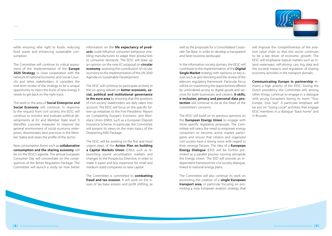

while ensuring «the right to food», reducing food waste and enhancing sustainable consumption.

...

The Committee will continue its critical assessment of the implementation of the **Europe 2020 Strategy**, in close cooperation with the network of national Economic and Social Councils and other stakeholders. It considers the mid-term review of the strategy to be a unique opportunity to inject the burst of new energy it needs to get back on the right track.

The work in the area of **Social Enterprise and Social Economy** will continue. In response to the request from civil society, the EESC will continue to monitor and evaluate political developments at EU and Member State level. It identifies concrete measures to improve the general environment of social economy enterprises, disseminates best practices in the Member States and raises the profile of the sector.

New consumption forms such as **collaborative consumption and the sharing economy** will be on the EESC's agenda. The annual European Consumer Day will concentrate on the consequences of the Better Regulation Package. The Committee will launch a study on how better

information on the **life expectancy of products** could influence consumer behaviour, enabling manufacturers to adapt their production to consumer demands. The EESC will draw up an opinion on the new EC proposal on **circular economy**, assessing the contribution of circular economy to the implementation of the UN 2030 Agenda on Sustainable Development.

The EESC will continue to participate actively in the on-going debate on **better economic, social, political and institutional governance in the euro area** by ensuring that the positions of civil society stakeholders are duly taken into account. The EESC will focus on the specific follow-up initiatives to the Five Presidents' Report on Completing Europe's Economic and Monetary Union (EMU), such as a European Deposit Insurance Scheme. In particular, the Committee will present its views on the main topics of the Deepening EMU Package.

The EESC will be working on the first and most urgent steps of the **Action Plan on building a Capital Markets Union** (CMU), such as relaunching sound securitisation markets and changes to the Prospectus Directive, in order to make it easier and less expensive for small and medium-sized companies to raise capital.

The Committee is committed to **combatting fraud and tax evasion**. It will work on the issues of tax base erosion and profit shifting, as well as the proposals for a Consolidated Corporate Tax Base, in order to develop a transparent and fairer business landscape.

In the information society domain, the EESC will contribute to the implementation of the **Digital Single Market** strategy with opinions on key issues such as geo-blocking and the review of the telecom regulatory framework. Particular focus will be on maximizing the opportunities offered by unhindered access to digital goods and services for both businesses and citizens. **E-skills, e-inclusion, privacy and personal data protection** will continue to be at the heart of the Committee's concerns.

The EESC will build on its previous opinions on the **European Energy Union** to engage with more specific legislative proposals. The Committee will stress the need to empower energy consumers to become active market participants and ensure that citizens and organized civil society have a strong voice with regard to their «energy future». The idea of a **European Energy Dialogue** (EED) will be further promoted as a parallel process running alongside the Energy Union. The EED will provide an independent framework for civil society dialogue, linked to national energy plans.

The Committee will also continue its work on promoting the creation of a **single European transport area**, in particular focusing on promoting a truly European aviation strategy that

will improve the competitiveness of the aviation value chain so that this sector continues to be a key driver of economic growth. The EESC will emphasise topical matters such as inland waterways, self-driving cars, big data and the societal impacts and regulation of sharing economy activities in the transport domain.

**Communicating Europe in partnership** remains a high priority of the EESC. During the Dutch presidency the Committee will, among other things, continue to engage in a dialogue with young Europeans during its event "Your Europe, Your Say!". A particular emphasis will be put on "Going Local" activities that engage EESC membres in a dialogue "back home" and in Brussels.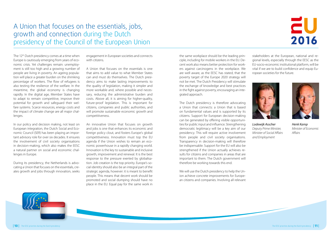#### A Union that focuses on the essentials, jobs, growth and connection during the Dutch presidency of the Council of the European Union

# $\mathbf{Z}$ U<br>2016

The 12<sup>th</sup> Dutch presidency comes at a time when Europe is cautiously emerging from years of economic crisis. Yet challenges remain: unemployment is still too high and a growing number of people are living in poverty. An ageing population will place a greater burden on the shrinking percentage of workers. The flow of refugees is also testing the resilience of the welfare. In the meantime, the global economy is changing rapidly. In the digital age, Member States have to adapt to remain competitive, improve their potential for growth and safeguard their welfare systems. Scarce resources, energy costs and the impact of climate change are all major challenges.

In our policy and decision making, not least on European integration, the Dutch Social and Economic Council (SER) has been playing an important advisory role for over six decades. It ensures the involvement of civil society organisations in decision-making, which also makes the EESC a natural partner on social and economic challenges in Europe.

During its presidency, the Netherlands is advocating a Union that focuses on the essentials, creates growth and jobs through innovation, seeks engagement in European societies and connects with citizens.

A Union that focuses on the essentials is one that aims to add value to what Member States can and must do themselves. The Dutch presidency aims to make lasting improvements to the quality of legislation, making it simpler and more workable and, where possible and necessary, reducing the administrative burden and costs. Above all, it is aiming for higher-quality, future-proof legislation. This is important for citizens, companies and public authorities, and will promote sustainable economic growth and competitiveness.

An innovative Union that focuses on growth and jobs is one that enhances its economic and foreign policy clout, and fosters Europe's global competitiveness. Innovation must top the EU agenda if the Union wishes to remain an economic powerhouse in a rapidly changing world. Innovation is the key to sustainable and inclusive growth, improvement and renewal. It is the best response to the pressure exerted by globalisation. Job creation is the top priority. Europe's social identity should also be an integral part of the strategic agenda, however: it is meant to benefit people. This means that decent work should be promoted and social dumping should have no place in the EU. Equal pay for the same work in

the same workplace should be the leading principle, including for mobile workers in the EU. Decent work also means better protection for workers against carcinogens in the workplace. We are well aware, as the EESC has stated, that the poverty target of the Europe 2020 strategy will not be met. The Dutch Presidency will stimulate the exchange of knowledge and best practices in the fight against poverty, encouraging an integrated approach.

The Dutch presidency is therefore advocating a Union that connects: a Union that is based on fundamental values and is supported by its citizens. Support for European decision-making can be generated by offering visible opportunities for public input and influence. Strengthening democratic legitimacy will be a key aim of our presidency. This will require active involvement from people and civil society organisations. Transparency in decision-making will therefore be indispensable. Support for the EU will also be strengthened if the Union actually achieves results for citizens and companies in areas that are important to them. The Dutch government will therefore be working towards this end.

We will use the Dutch presidency to help the Union achieve concrete improvements for European citizens and companies. Involving all relevant stakeholders at the European, national and regional levels, especially through the EESC as the EU-socio-economic institutional platform, will be vital if we are to build confidence and equip European societies for the future.





*Lodewijk Asscher Deputy Prime Minister, Minister of Social Affairs and Employment*

*Henk Kamp Minister of Economic Affairs* 

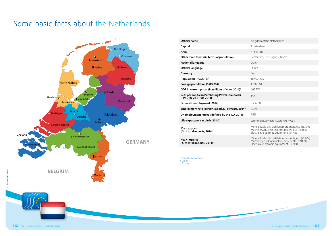### Some basic facts about the Netherlands



| Official name                                                                           | Kingdom of the Netherlands                                                                                                                                   |  |
|-----------------------------------------------------------------------------------------|--------------------------------------------------------------------------------------------------------------------------------------------------------------|--|
| Capital                                                                                 | Amsterdam                                                                                                                                                    |  |
| Area                                                                                    | 41 543 $km2$                                                                                                                                                 |  |
| Other main towns (in terms of population)                                               | Rotterdam, The Hague, Utrecht                                                                                                                                |  |
| <b>National language</b>                                                                | Dutch                                                                                                                                                        |  |
| Official language                                                                       | Dutch                                                                                                                                                        |  |
| Currency                                                                                | Furo                                                                                                                                                         |  |
| Population (1/9/2015) <sup>1</sup>                                                      | 16 957 605                                                                                                                                                   |  |
| Foreign population (1/8/2014) <sup>1</sup>                                              | 1997584                                                                                                                                                      |  |
| GDP in current prices (in millions of euro, 2014) <sup>1</sup>                          | 662770                                                                                                                                                       |  |
| GDP per capita (in Purchasing Power Standards<br>[PPS], EU-28 = 100, 2014) <sup>2</sup> | 130                                                                                                                                                          |  |
| Domestic employment (2014) <sup>2</sup>                                                 | 8739000                                                                                                                                                      |  |
| Employment rate (persons aged 20-64 years, 2014) <sup>2</sup>                           | 73.1%                                                                                                                                                        |  |
| Unemployment rate (as defined by the ILO, 2014) <sup>2</sup>                            | 7.4%                                                                                                                                                         |  |
| Life expectancy at birth $(2014)^1$                                                     | Women: 83.29 years / Men: 79.87 years                                                                                                                        |  |
| <b>Main exports</b><br>(% of total exports, 2014) $3$                                   | Mineral fuels, oils, distillation products, etc. (16.73%)<br>Machinery, nuclear reactors, boilers, etc. (13.61%)<br>Electrical, electronic equipment (8.47%) |  |
| <b>Main imports</b><br>(% of total imports, 2014) $3$                                   | Mineral fuels, oils, distillation products, etc. (21.17%)<br>Machinery nuclear reactors, boilers, etc. (12.88%)<br>Electrical, electronic equipment (10.21%) |  |
|                                                                                         |                                                                                                                                                              |  |

*1 Centraal Bureau voor de Statistiek*

*2 Eurostat 3 Trademap*

© Shutterstock: Volinatock: Volina ng<br>G

*European Economic and Social Committee*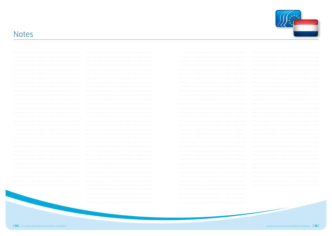

#### Notes

| 1.1.1.1.1.1.1 |   |   |
|---------------|---|---|
|               |   |   |
|               |   |   |
|               |   |   |
|               |   |   |
|               |   |   |
|               |   |   |
|               |   |   |
|               |   |   |
|               |   |   |
| .             |   |   |
|               |   |   |
|               |   |   |
|               |   |   |
|               |   |   |
|               |   |   |
|               |   |   |
|               |   |   |
|               |   |   |
|               |   |   |
|               |   |   |
|               |   |   |
|               |   |   |
|               |   | . |
|               |   |   |
|               |   |   |
|               | . |   |
|               |   |   |
|               |   |   |
|               |   |   |
|               |   |   |
|               |   |   |
|               |   |   |
|               |   |   |
|               |   |   |
|               |   |   |
|               |   |   |